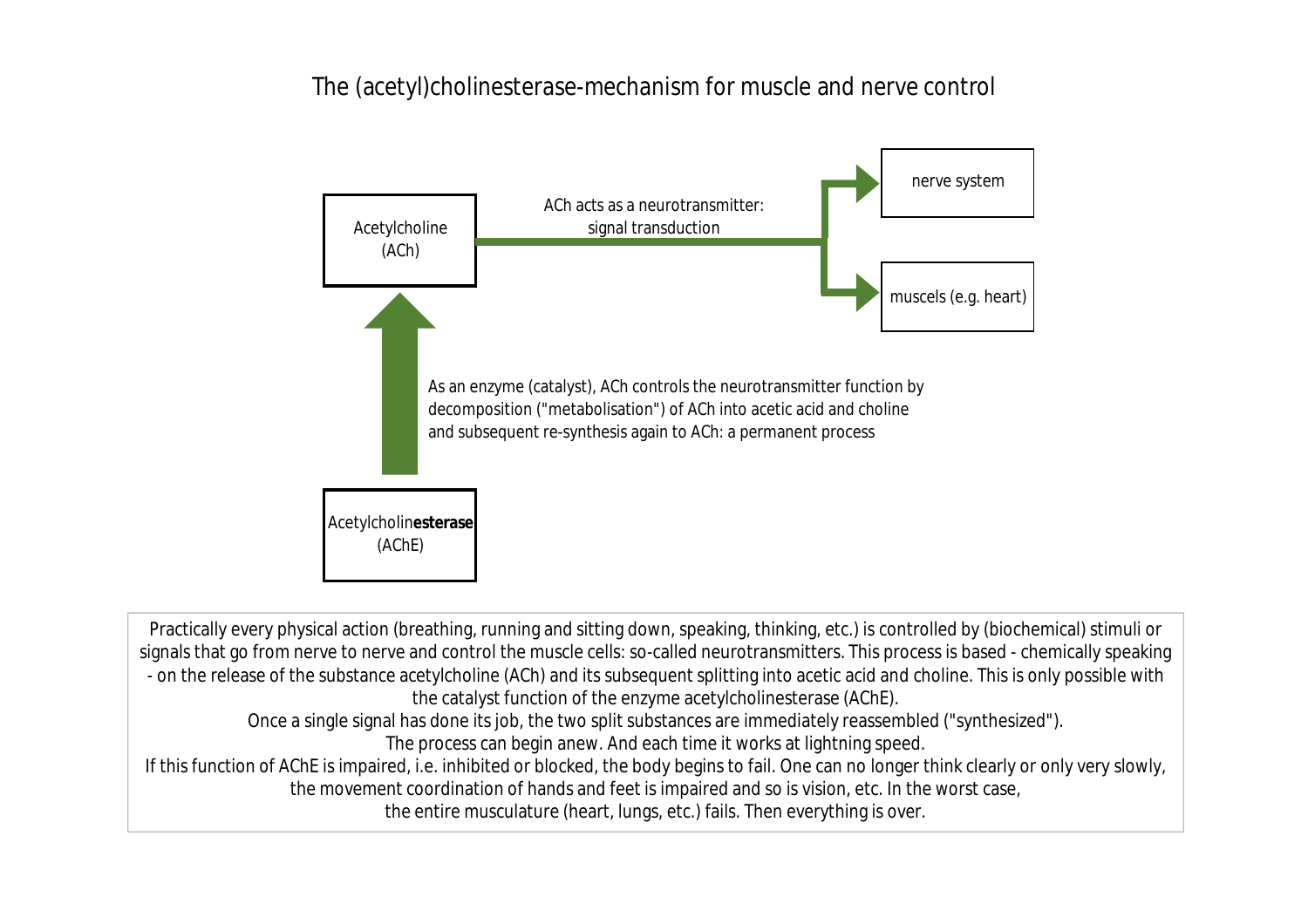## The (acetyl)cholinesterase-mechanism for muscle and nerve control



Practically every physical action (breathing, running and sitting down, speaking, thinking, etc.) is controlled by (biochemical) stimuli or signals that go from nerve to nerve and control the muscle cells: so-called neurotransmitters. This process is based - chemically speaking - on the release of the substance acetylcholine (ACh) and its subsequent splitting into acetic acid and choline. This is only possible with the catalyst function of the enzyme acetylcholinesterase (AChE).

Once a single signal has done its job, the two split substances are immediately reassembled ("synthesized").

The process can begin anew. And each time it works at lightning speed.

If this function of AChE is impaired, i.e. inhibited or blocked, the body begins to fail. One can no longer think clearly or only very slowly, the movement coordination of hands and feet is impaired and so is vision, etc. In the worst case,

the entire musculature (heart, lungs, etc.) fails. Then everything is over.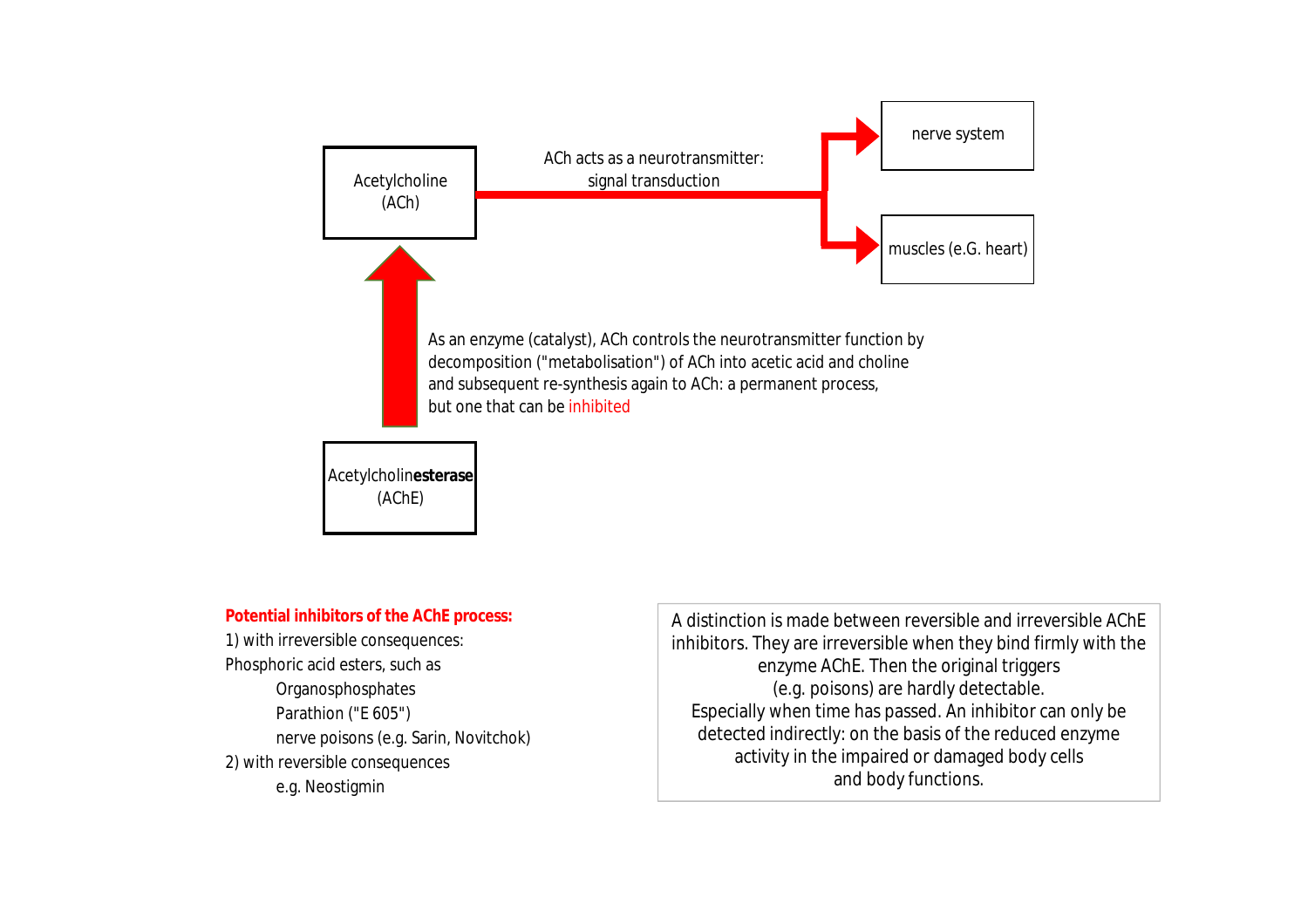

1) with irreversible consequences: e.g. Neostigmin

Potential inhibitors of the AChE process: **Generally and menschichen and menschlichen Chef** Achen organismus, and interversible AChE Phosphoric acid esters, such as  $|$  and  $\rho$  and  $\epsilon$  tensors  $\epsilon$  and  $\epsilon$  are  $\epsilon$  and  $\epsilon$  are  $\epsilon$  and  $\epsilon$  are  $\epsilon$  and  $\epsilon$  are  $\epsilon$  and  $\epsilon$  are  $\epsilon$  and  $\epsilon$  are  $\epsilon$  and  $\epsilon$  are  $\epsilon$  and  $\epsilon$  are  $\epsilon$  and  $\epsilon$  ar Organosphosphates and the community of the creative community (e.g. poisons) are hardly detectable. Parathion ("E 605") b) der größere Teil verbindet sich fest und ihme has passed. An inhibitor can only bel nerve poisons (e.g. Sarin, Novitchok) detected indirectly: on the basis of the reduced enzyme 2) with reversible consequences and activity in the impaired or damaged body cells activity in the impaired or damaged body cells inhibitors. They are irreversible when they bind firmly with the and body functions.